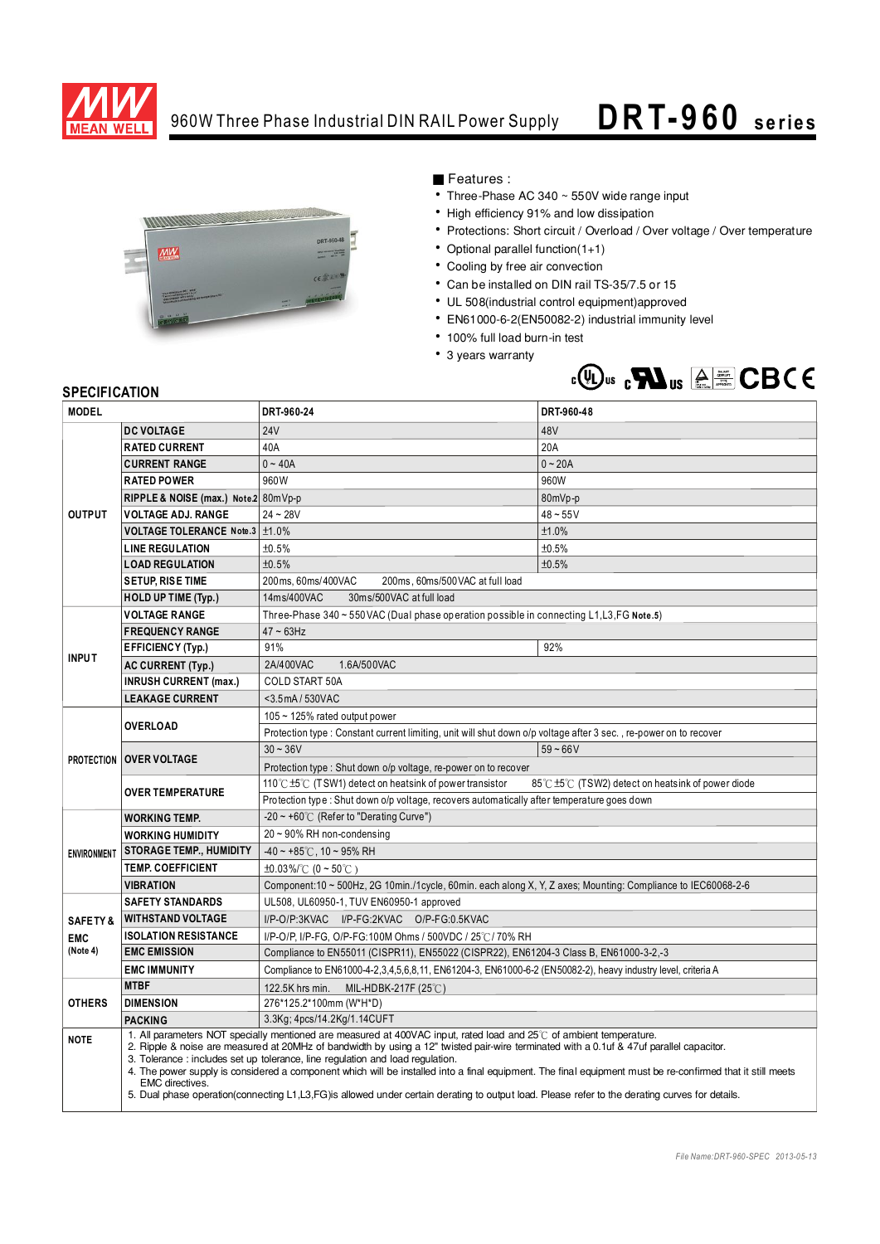

## 960W Three Phase Industrial DIN RAIL Power Supply

# **D R T-960 se rie s**



Features:

- Three-Phase AC 340 ~ 550V wide range input
- High efficiency 91% and low dissipation
- Protections: Short circuit / Overload / Over voltage / Over temperature
- Optional parallel function(1+1)
- Cooling by free air convection
- Can be installed on DIN rail TS-35/7.5 or 15
- UL 508(industrial control equipment)approved
- EN61000-6-2(EN50082-2) industrial immunity level
- 100% full load burn-in test
- 3 years warranty



## **SPECIFICATION**

| <b>MODEL</b>                                 |                                                                                                                                                                                                                                                                                                                                                                                                                                                                                                                                                                                                                                                                                       | DRT-960-24                                                                                                        | DRT-960-48 |
|----------------------------------------------|---------------------------------------------------------------------------------------------------------------------------------------------------------------------------------------------------------------------------------------------------------------------------------------------------------------------------------------------------------------------------------------------------------------------------------------------------------------------------------------------------------------------------------------------------------------------------------------------------------------------------------------------------------------------------------------|-------------------------------------------------------------------------------------------------------------------|------------|
|                                              | <b>DC VOLTAGE</b>                                                                                                                                                                                                                                                                                                                                                                                                                                                                                                                                                                                                                                                                     | <b>24V</b>                                                                                                        | 48V        |
| <b>OUTPUT</b>                                | <b>RATED CURRENT</b>                                                                                                                                                                                                                                                                                                                                                                                                                                                                                                                                                                                                                                                                  | 40A                                                                                                               | 20A        |
|                                              | <b>CURRENT RANGE</b>                                                                                                                                                                                                                                                                                                                                                                                                                                                                                                                                                                                                                                                                  | $0 - 40A$                                                                                                         | $0 - 20A$  |
|                                              | <b>RATED POWER</b>                                                                                                                                                                                                                                                                                                                                                                                                                                                                                                                                                                                                                                                                    | 960W                                                                                                              | 960W       |
|                                              | RIPPLE & NOISE (max.) Note 2 80mVp-p                                                                                                                                                                                                                                                                                                                                                                                                                                                                                                                                                                                                                                                  |                                                                                                                   | 80mVp-p    |
|                                              | <b>VOLTAGE ADJ. RANGE</b>                                                                                                                                                                                                                                                                                                                                                                                                                                                                                                                                                                                                                                                             | $24 - 28V$                                                                                                        | $48 - 55V$ |
|                                              | VOLTAGE TOLERANCE Note.3   ±1.0%                                                                                                                                                                                                                                                                                                                                                                                                                                                                                                                                                                                                                                                      |                                                                                                                   | ±1.0%      |
|                                              | <b>LINE REGULATION</b>                                                                                                                                                                                                                                                                                                                                                                                                                                                                                                                                                                                                                                                                | ±0.5%                                                                                                             | ±0.5%      |
|                                              | <b>LOAD REGULATION</b>                                                                                                                                                                                                                                                                                                                                                                                                                                                                                                                                                                                                                                                                | ±0.5%                                                                                                             | ±0.5%      |
|                                              | <b>SETUP, RISE TIME</b>                                                                                                                                                                                                                                                                                                                                                                                                                                                                                                                                                                                                                                                               | 200 ms, 60 ms/400 VAC<br>200ms, 60ms/500 VAC at full load                                                         |            |
|                                              | <b>HOLD UP TIME (Typ.)</b>                                                                                                                                                                                                                                                                                                                                                                                                                                                                                                                                                                                                                                                            | 30ms/500VAC at full load<br>14ms/400VAC                                                                           |            |
|                                              | <b>VOLTAGE RANGE</b>                                                                                                                                                                                                                                                                                                                                                                                                                                                                                                                                                                                                                                                                  | Three-Phase 340 ~ 550 VAC (Dual phase operation possible in connecting L1,L3,FG Note.5)                           |            |
| <b>INPUT</b>                                 | <b>FREQUENCY RANGE</b>                                                                                                                                                                                                                                                                                                                                                                                                                                                                                                                                                                                                                                                                | $47 \sim 63$ Hz                                                                                                   |            |
|                                              | <b>EFFICIENCY (Typ.)</b>                                                                                                                                                                                                                                                                                                                                                                                                                                                                                                                                                                                                                                                              | 91%                                                                                                               | 92%        |
|                                              | <b>AC CURRENT (Typ.)</b>                                                                                                                                                                                                                                                                                                                                                                                                                                                                                                                                                                                                                                                              | 2A/400VAC<br>1.6A/500VAC                                                                                          |            |
|                                              | <b>INRUSH CURRENT (max.)</b>                                                                                                                                                                                                                                                                                                                                                                                                                                                                                                                                                                                                                                                          | COLD START 50A                                                                                                    |            |
|                                              | <b>LEAKAGE CURRENT</b>                                                                                                                                                                                                                                                                                                                                                                                                                                                                                                                                                                                                                                                                | <3.5mA/530VAC                                                                                                     |            |
|                                              | <b>OVERLOAD</b>                                                                                                                                                                                                                                                                                                                                                                                                                                                                                                                                                                                                                                                                       | $105 \sim 125\%$ rated output power                                                                               |            |
|                                              |                                                                                                                                                                                                                                                                                                                                                                                                                                                                                                                                                                                                                                                                                       | Protection type : Constant current limiting, unit will shut down o/p voltage after 3 sec., re-power on to recover |            |
|                                              | <b>PROTECTION OVER VOLTAGE</b>                                                                                                                                                                                                                                                                                                                                                                                                                                                                                                                                                                                                                                                        | $30 - 36V$                                                                                                        | $59 - 66V$ |
|                                              |                                                                                                                                                                                                                                                                                                                                                                                                                                                                                                                                                                                                                                                                                       | Protection type : Shut down o/p voltage, re-power on to recover                                                   |            |
|                                              | <b>OVER TEMPERATURE</b>                                                                                                                                                                                                                                                                                                                                                                                                                                                                                                                                                                                                                                                               | 110℃±5℃ (TSW1) detect on heatsink of power transistor<br>85℃ ±5℃ (TSW2) detect on heats ink of power diode        |            |
|                                              |                                                                                                                                                                                                                                                                                                                                                                                                                                                                                                                                                                                                                                                                                       | Protection type : Shut down o/p voltage, recovers automatically after temperature goes down                       |            |
| <b>ENVIRONMENT</b>                           | <b>WORKING TEMP.</b>                                                                                                                                                                                                                                                                                                                                                                                                                                                                                                                                                                                                                                                                  | $-20 \sim +60^{\circ}$ (Refer to "Derating Curve")                                                                |            |
|                                              | <b>WORKING HUMIDITY</b>                                                                                                                                                                                                                                                                                                                                                                                                                                                                                                                                                                                                                                                               | $20 \sim 90\%$ RH non-condensing                                                                                  |            |
|                                              | <b>STORAGE TEMP., HUMIDITY</b>                                                                                                                                                                                                                                                                                                                                                                                                                                                                                                                                                                                                                                                        | $-40 \sim +85^{\circ}$ C, 10 ~ 95% RH                                                                             |            |
|                                              | <b>TEMP. COEFFICIENT</b>                                                                                                                                                                                                                                                                                                                                                                                                                                                                                                                                                                                                                                                              | $\pm 0.03\%$ /°C (0 ~ 50°C)                                                                                       |            |
|                                              | <b>VIBRATION</b>                                                                                                                                                                                                                                                                                                                                                                                                                                                                                                                                                                                                                                                                      | Component:10 ~ 500Hz, 2G 10min./1cycle, 60min. each along X, Y, Z axes; Mounting: Compliance to IEC60068-2-6      |            |
| <b>SAFETY&amp;</b><br><b>EMC</b><br>(Note 4) | <b>SAFETY STANDARDS</b>                                                                                                                                                                                                                                                                                                                                                                                                                                                                                                                                                                                                                                                               | UL508, UL60950-1, TUV EN60950-1 approved                                                                          |            |
|                                              | <b>WITHSTAND VOLTAGE</b>                                                                                                                                                                                                                                                                                                                                                                                                                                                                                                                                                                                                                                                              | I/P-O/P:3KVAC I/P-FG:2KVAC O/P-FG:0.5KVAC                                                                         |            |
|                                              | <b>ISOLATION RESISTANCE</b>                                                                                                                                                                                                                                                                                                                                                                                                                                                                                                                                                                                                                                                           | I/P-O/P, I/P-FG, O/P-FG:100M Ohms / 500VDC / 25°C / 70% RH                                                        |            |
|                                              | <b>EMC EMISSION</b>                                                                                                                                                                                                                                                                                                                                                                                                                                                                                                                                                                                                                                                                   | Compliance to EN55011 (CISPR11), EN55022 (CISPR22), EN61204-3 Class B, EN61000-3-2,-3                             |            |
|                                              | <b>EMC IMMUNITY</b>                                                                                                                                                                                                                                                                                                                                                                                                                                                                                                                                                                                                                                                                   | Compliance to EN61000-4-2,3,4,5,6,8,11, EN61204-3, EN61000-6-2 (EN50082-2), heavy industry level, criteria A      |            |
| <b>OTHERS</b>                                | <b>MTBF</b>                                                                                                                                                                                                                                                                                                                                                                                                                                                                                                                                                                                                                                                                           | 122.5K hrs min.<br>MIL-HDBK-217F (25 $°C$ )                                                                       |            |
|                                              | <b>DIMENSION</b>                                                                                                                                                                                                                                                                                                                                                                                                                                                                                                                                                                                                                                                                      | 276*125.2*100mm (W*H*D)                                                                                           |            |
|                                              | <b>PACKING</b>                                                                                                                                                                                                                                                                                                                                                                                                                                                                                                                                                                                                                                                                        | 3.3Kg; 4pcs/14.2Kg/1.14CUFT                                                                                       |            |
| <b>NOTE</b>                                  | 1. All parameters NOT specially mentioned are measured at 400VAC input, rated load and 25°C of ambient temperature.<br>2. Ripple & noise are measured at 20MHz of bandwidth by using a 12" twisted pair-wire terminated with a 0.1uf & 47uf parallel capacitor.<br>3. Tolerance : includes set up tolerance, line regulation and load regulation.<br>4. The power supply is considered a component which will be installed into a final equipment. The final equipment must be re-confirmed that it still meets<br>EMC directives.<br>5. Dual phase operation(connecting L1,L3,FG) is allowed under certain derating to output load. Please refer to the derating curves for details. |                                                                                                                   |            |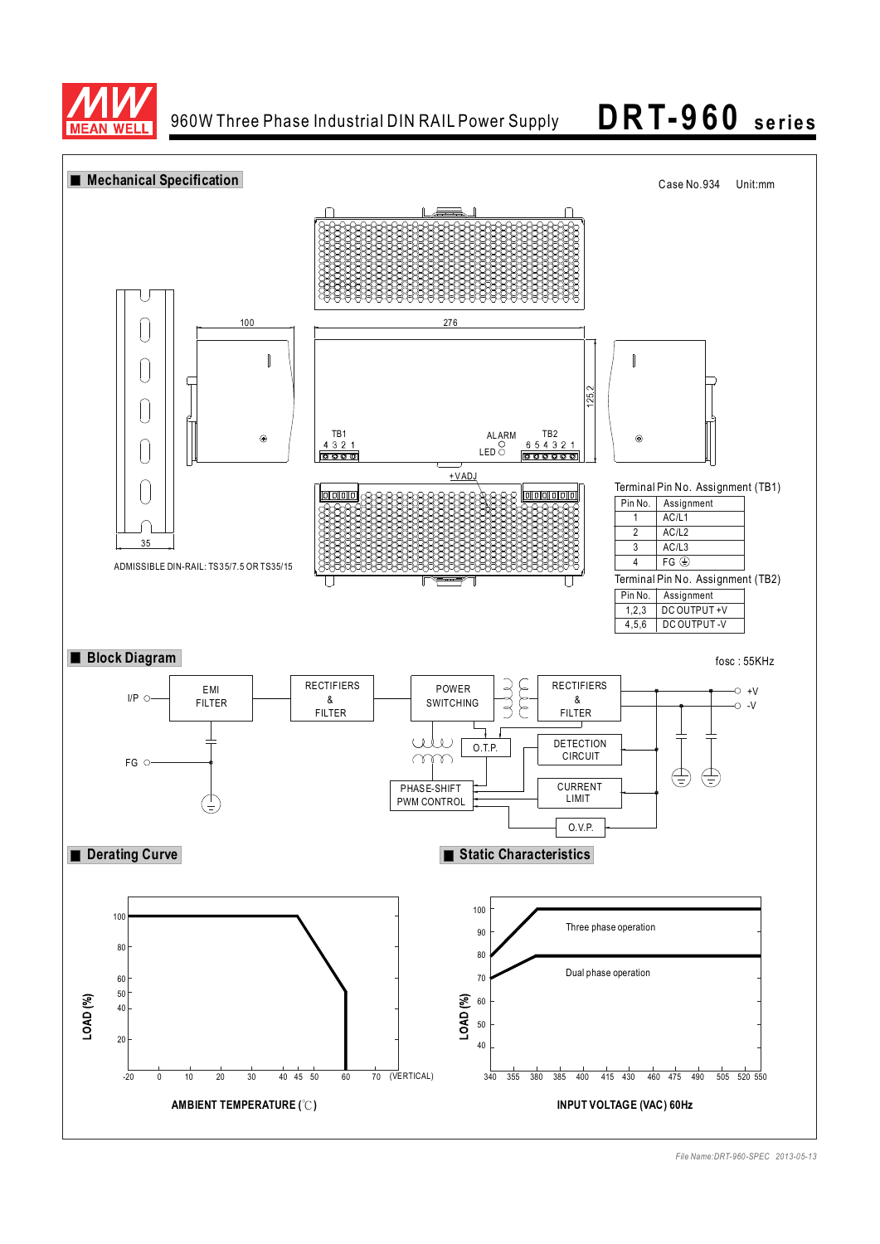